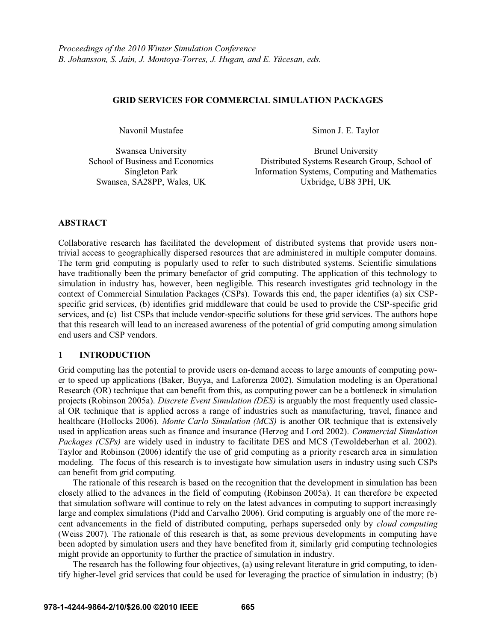#### **GRID SERVICES FOR COMMERCIAL SIMULATION PACKAGES**

Swansea University School of Business and Economics Singleton Park

Navonil Mustafee Simon J. E. Taylor

Brunel University Distributed Systems Research Group, School of Information Systems, Computing and Mathematics Swansea, SA28PP, Wales, UK Uxbridge, UB8 3PH, UK

### **ABSTRACT**

Collaborative research has facilitated the development of distributed systems that provide users nontrivial access to geographically dispersed resources that are administered in multiple computer domains. The term grid computing is popularly used to refer to such distributed systems. Scientific simulations have traditionally been the primary benefactor of grid computing. The application of this technology to simulation in industry has, however, been negligible. This research investigates grid technology in the context of Commercial Simulation Packages (CSPs). Towards this end, the paper identifies (a) six CSPspecific grid services, (b) identifies grid middleware that could be used to provide the CSP-specific grid services, and (c) list CSPs that include vendor-specific solutions for these grid services. The authors hope that this research will lead to an increased awareness of the potential of grid computing among simulation end users and CSP vendors.

#### **1 INTRODUCTION**

Grid computing has the potential to provide users on-demand access to large amounts of computing power to speed up applications (Baker, Buyya, and Laforenza 2002). Simulation modeling is an Operational Research (OR) technique that can benefit from this, as computing power can be a bottleneck in simulation projects (Robinson 2005a). *Discrete Event Simulation (DES)* is arguably the most frequently used classical OR technique that is applied across a range of industries such as manufacturing, travel, finance and healthcare (Hollocks 2006). *Monte Carlo Simulation (MCS)* is another OR technique that is extensively used in application areas such as finance and insurance (Herzog and Lord 2002). *Commercial Simulation Packages (CSPs)* are widely used in industry to facilitate DES and MCS (Tewoldeberhan et al. 2002). Taylor and Robinson (2006) identify the use of grid computing as a priority research area in simulation modeling. The focus of this research is to investigate how simulation users in industry using such CSPs can benefit from grid computing.

 The rationale of this research is based on the recognition that the development in simulation has been closely allied to the advances in the field of computing (Robinson 2005a). It can therefore be expected that simulation software will continue to rely on the latest advances in computing to support increasingly large and complex simulations (Pidd and Carvalho 2006). Grid computing is arguably one of the more recent advancements in the field of distributed computing, perhaps superseded only by *cloud computing* (Weiss 2007)*.* The rationale of this research is that, as some previous developments in computing have been adopted by simulation users and they have benefited from it, similarly grid computing technologies might provide an opportunity to further the practice of simulation in industry.

The research has the following four objectives, (a) using relevant literature in grid computing, to identify higher-level grid services that could be used for leveraging the practice of simulation in industry; (b)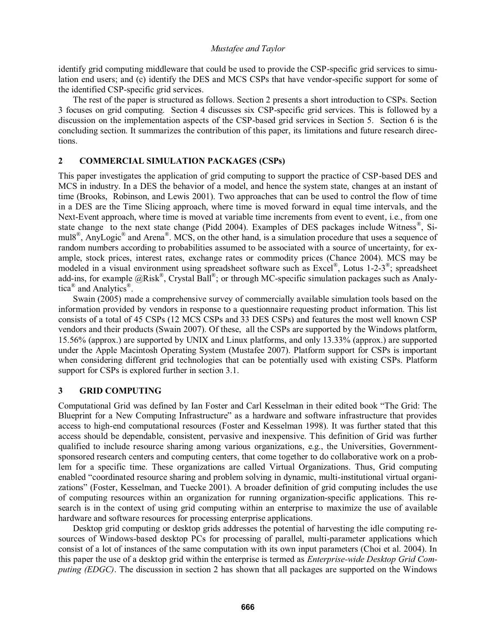identify grid computing middleware that could be used to provide the CSP-specific grid services to simulation end users; and (c) identify the DES and MCS CSPs that have vendor-specific support for some of the identified CSP-specific grid services.

The rest of the paper is structured as follows. Section 2 presents a short introduction to CSPs. Section 3 focuses on grid computing. Section 4 discusses six CSP-specific grid services. This is followed by a discussion on the implementation aspects of the CSP-based grid services in Section 5. Section 6 is the concluding section. It summarizes the contribution of this paper, its limitations and future research directions.

#### **2 COMMERCIAL SIMULATION PACKAGES (CSPs)**

This paper investigates the application of grid computing to support the practice of CSP-based DES and MCS in industry. In a DES the behavior of a model, and hence the system state, changes at an instant of time (Brooks, Robinson, and Lewis 2001). Two approaches that can be used to control the flow of time in a DES are the Time Slicing approach, where time is moved forward in equal time intervals, and the Next-Event approach, where time is moved at variable time increments from event to event, i.e., from one state change to the next state change (Pidd 2004). Examples of DES packages include Witness<sup>®</sup>, Simul8<sup>®</sup>, AnyLogic<sup>®</sup> and Arena<sup>®</sup>. MCS, on the other hand, is a simulation procedure that uses a sequence of random numbers according to probabilities assumed to be associated with a source of uncertainty, for example, stock prices, interest rates, exchange rates or commodity prices (Chance 2004). MCS may be modeled in a visual environment using spreadsheet software such as  $\text{Excel}^{\circledast}$ , Lotus 1-2-3<sup>\one</sup>; spreadsheet add-ins, for example  $@Risk^{\circ}$ , Crystal Ball<sup>®</sup>; or through MC-specific simulation packages such as Analytica® and Analytics®.

Swain (2005) made a comprehensive survey of commercially available simulation tools based on the information provided by vendors in response to a questionnaire requesting product information. This list consists of a total of 45 CSPs (12 MCS CSPs and 33 DES CSPs) and features the most well known CSP vendors and their products (Swain 2007). Of these, all the CSPs are supported by the Windows platform, 15.56% (approx.) are supported by UNIX and Linux platforms, and only 13.33% (approx.) are supported under the Apple Macintosh Operating System (Mustafee 2007). Platform support for CSPs is important when considering different grid technologies that can be potentially used with existing CSPs. Platform support for CSPs is explored further in section 3.1.

### **3 GRID COMPUTING**

Computational Grid was defined by Ian Foster and Carl Kesselman in their edited book "The Grid: The Blueprint for a New Computing Infrastructure" as a hardware and software infrastructure that provides access to high-end computational resources (Foster and Kesselman 1998). It was further stated that this access should be dependable, consistent, pervasive and inexpensive. This definition of Grid was further qualified to include resource sharing among various organizations, e.g., the Universities, Governmentsponsored research centers and computing centers, that come together to do collaborative work on a problem for a specific time. These organizations are called Virtual Organizations. Thus, Grid computing enabled "coordinated resource sharing and problem solving in dynamic, multi-institutional virtual organizations" (Foster, Kesselman, and Tuecke 2001). A broader definition of grid computing includes the use of computing resources within an organization for running organization-specific applications. This research is in the context of using grid computing within an enterprise to maximize the use of available hardware and software resources for processing enterprise applications.

Desktop grid computing or desktop grids addresses the potential of harvesting the idle computing resources of Windows-based desktop PCs for processing of parallel, multi-parameter applications which consist of a lot of instances of the same computation with its own input parameters (Choi et al. 2004). In this paper the use of a desktop grid within the enterprise is termed as *Enterprise-wide Desktop Grid Computing (EDGC)*. The discussion in section 2 has shown that all packages are supported on the Windows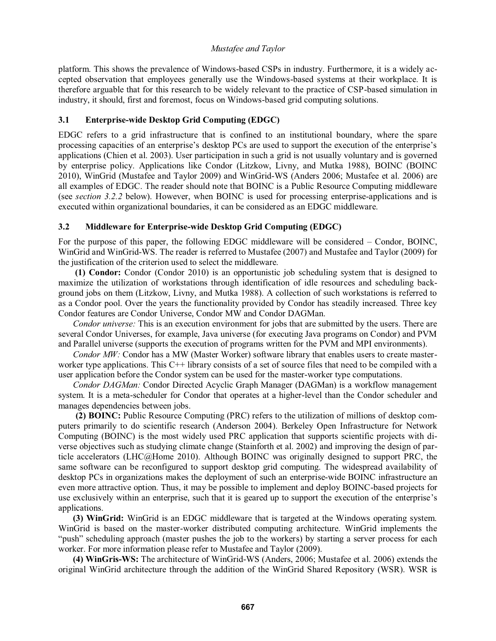platform. This shows the prevalence of Windows-based CSPs in industry. Furthermore, it is a widely accepted observation that employees generally use the Windows-based systems at their workplace. It is therefore arguable that for this research to be widely relevant to the practice of CSP-based simulation in industry, it should, first and foremost, focus on Windows-based grid computing solutions.

### **3.1 Enterprise-wide Desktop Grid Computing (EDGC)**

EDGC refers to a grid infrastructure that is confined to an institutional boundary, where the spare processing capacities of an enterprise's desktop PCs are used to support the execution of the enterprise's applications (Chien et al. 2003). User participation in such a grid is not usually voluntary and is governed by enterprise policy. Applications like Condor (Litzkow, Livny, and Mutka 1988), BOINC (BOINC 2010), WinGrid (Mustafee and Taylor 2009) and WinGrid-WS (Anders 2006; Mustafee et al. 2006) are all examples of EDGC. The reader should note that BOINC is a Public Resource Computing middleware (see *section 3.2.2* below). However, when BOINC is used for processing enterprise-applications and is executed within organizational boundaries, it can be considered as an EDGC middleware.

## **3.2 Middleware for Enterprise-wide Desktop Grid Computing (EDGC)**

For the purpose of this paper, the following EDGC middleware will be considered – Condor, BOINC, WinGrid and WinGrid-WS. The reader is referred to Mustafee (2007) and Mustafee and Taylor (2009) for the justification of the criterion used to select the middleware.

 **(1) Condor:** Condor (Condor 2010) is an opportunistic job scheduling system that is designed to maximize the utilization of workstations through identification of idle resources and scheduling background jobs on them (Litzkow, Livny, and Mutka 1988). A collection of such workstations is referred to as a Condor pool. Over the years the functionality provided by Condor has steadily increased. Three key Condor features are Condor Universe, Condor MW and Condor DAGMan.

*Condor universe:* This is an execution environment for jobs that are submitted by the users. There are several Condor Universes, for example, Java universe (for executing Java programs on Condor) and PVM and Parallel universe (supports the execution of programs written for the PVM and MPI environments).

*Condor MW:* Condor has a MW (Master Worker) software library that enables users to create masterworker type applications. This C++ library consists of a set of source files that need to be compiled with a user application before the Condor system can be used for the master-worker type computations.

*Condor DAGMan:* Condor Directed Acyclic Graph Manager (DAGMan) is a workflow management system. It is a meta-scheduler for Condor that operates at a higher-level than the Condor scheduler and manages dependencies between jobs.

 **(2) BOINC:** Public Resource Computing (PRC) refers to the utilization of millions of desktop computers primarily to do scientific research (Anderson 2004). Berkeley Open Infrastructure for Network Computing (BOINC) is the most widely used PRC application that supports scientific projects with diverse objectives such as studying climate change (Stainforth et al. 2002) and improving the design of particle accelerators (LHC@Home 2010). Although BOINC was originally designed to support PRC, the same software can be reconfigured to support desktop grid computing. The widespread availability of desktop PCs in organizations makes the deployment of such an enterprise-wide BOINC infrastructure an even more attractive option. Thus, it may be possible to implement and deploy BOINC-based projects for use exclusively within an enterprise, such that it is geared up to support the execution of the enterprise's applications.

 **(3) WinGrid:** WinGrid is an EDGC middleware that is targeted at the Windows operating system. WinGrid is based on the master-worker distributed computing architecture. WinGrid implements the "push" scheduling approach (master pushes the job to the workers) by starting a server process for each worker. For more information please refer to Mustafee and Taylor (2009).

 **(4) WinGris-WS:** The architecture of WinGrid-WS (Anders, 2006; Mustafee et al. 2006) extends the original WinGrid architecture through the addition of the WinGrid Shared Repository (WSR). WSR is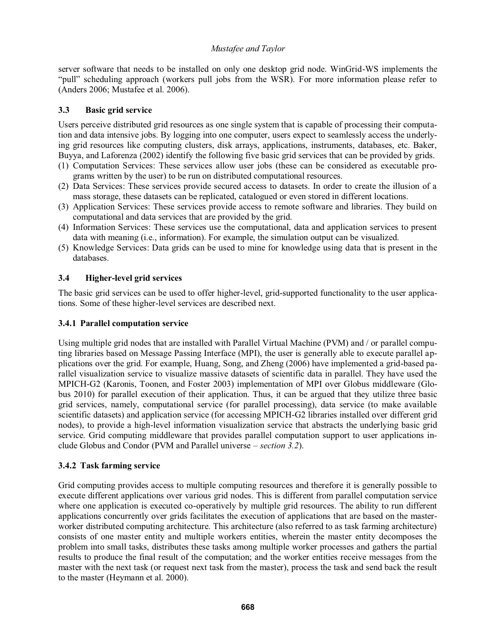server software that needs to be installed on only one desktop grid node. WinGrid-WS implements the "pull" scheduling approach (workers pull jobs from the WSR). For more information please refer to (Anders 2006; Mustafee et al. 2006).

# **3.3 Basic grid service**

Users perceive distributed grid resources as one single system that is capable of processing their computation and data intensive jobs. By logging into one computer, users expect to seamlessly access the underlying grid resources like computing clusters, disk arrays, applications, instruments, databases, etc. Baker, Buyya, and Laforenza (2002) identify the following five basic grid services that can be provided by grids.

- (1) Computation Services: These services allow user jobs (these can be considered as executable programs written by the user) to be run on distributed computational resources.
- (2) Data Services: These services provide secured access to datasets. In order to create the illusion of a mass storage, these datasets can be replicated, catalogued or even stored in different locations.
- (3) Application Services: These services provide access to remote software and libraries. They build on computational and data services that are provided by the grid.
- (4) Information Services: These services use the computational, data and application services to present data with meaning (i.e., information). For example, the simulation output can be visualized.
- (5) Knowledge Services: Data grids can be used to mine for knowledge using data that is present in the databases.

## **3.4 Higher-level grid services**

The basic grid services can be used to offer higher-level, grid-supported functionality to the user applications. Some of these higher-level services are described next.

### **3.4.1 Parallel computation service**

Using multiple grid nodes that are installed with Parallel Virtual Machine (PVM) and / or parallel computing libraries based on Message Passing Interface (MPI), the user is generally able to execute parallel applications over the grid. For example, Huang, Song, and Zheng (2006) have implemented a grid-based parallel visualization service to visualize massive datasets of scientific data in parallel. They have used the MPICH-G2 (Karonis, Toonen, and Foster 2003) implementation of MPI over Globus middleware (Globus 2010) for parallel execution of their application. Thus, it can be argued that they utilize three basic grid services, namely, computational service (for parallel processing), data service (to make available scientific datasets) and application service (for accessing MPICH-G2 libraries installed over different grid nodes), to provide a high-level information visualization service that abstracts the underlying basic grid service. Grid computing middleware that provides parallel computation support to user applications include Globus and Condor (PVM and Parallel universe – *section 3.2*).

# **3.4.2 Task farming service**

Grid computing provides access to multiple computing resources and therefore it is generally possible to execute different applications over various grid nodes. This is different from parallel computation service where one application is executed co-operatively by multiple grid resources. The ability to run different applications concurrently over grids facilitates the execution of applications that are based on the masterworker distributed computing architecture. This architecture (also referred to as task farming architecture) consists of one master entity and multiple workers entities, wherein the master entity decomposes the problem into small tasks, distributes these tasks among multiple worker processes and gathers the partial results to produce the final result of the computation; and the worker entities receive messages from the master with the next task (or request next task from the master), process the task and send back the result to the master (Heymann et al. 2000).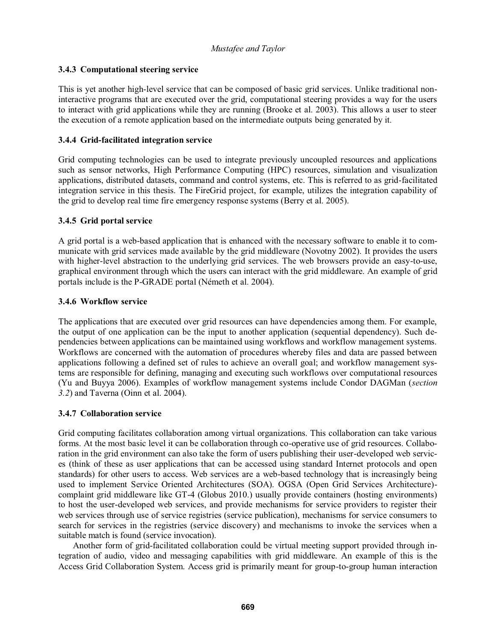# **3.4.3 Computational steering service**

This is yet another high-level service that can be composed of basic grid services. Unlike traditional noninteractive programs that are executed over the grid, computational steering provides a way for the users to interact with grid applications while they are running (Brooke et al. 2003). This allows a user to steer the execution of a remote application based on the intermediate outputs being generated by it.

## **3.4.4 Grid-facilitated integration service**

Grid computing technologies can be used to integrate previously uncoupled resources and applications such as sensor networks, High Performance Computing (HPC) resources, simulation and visualization applications, distributed datasets, command and control systems, etc. This is referred to as grid-facilitated integration service in this thesis. The FireGrid project, for example, utilizes the integration capability of the grid to develop real time fire emergency response systems (Berry et al. 2005).

## **3.4.5 Grid portal service**

A grid portal is a web-based application that is enhanced with the necessary software to enable it to communicate with grid services made available by the grid middleware (Novotny 2002). It provides the users with higher-level abstraction to the underlying grid services. The web browsers provide an easy-to-use, graphical environment through which the users can interact with the grid middleware. An example of grid portals include is the P-GRADE portal (Németh et al. 2004).

### **3.4.6 Workflow service**

The applications that are executed over grid resources can have dependencies among them. For example, the output of one application can be the input to another application (sequential dependency). Such dependencies between applications can be maintained using workflows and workflow management systems. Workflows are concerned with the automation of procedures whereby files and data are passed between applications following a defined set of rules to achieve an overall goal; and workflow management systems are responsible for defining, managing and executing such workflows over computational resources (Yu and Buyya 2006). Examples of workflow management systems include Condor DAGMan (*section 3.2*) and Taverna (Oinn et al. 2004).

### **3.4.7 Collaboration service**

Grid computing facilitates collaboration among virtual organizations. This collaboration can take various forms. At the most basic level it can be collaboration through co-operative use of grid resources. Collaboration in the grid environment can also take the form of users publishing their user-developed web services (think of these as user applications that can be accessed using standard Internet protocols and open standards) for other users to access. Web services are a web-based technology that is increasingly being used to implement Service Oriented Architectures (SOA). OGSA (Open Grid Services Architecture) complaint grid middleware like GT-4 (Globus 2010.) usually provide containers (hosting environments) to host the user-developed web services, and provide mechanisms for service providers to register their web services through use of service registries (service publication), mechanisms for service consumers to search for services in the registries (service discovery) and mechanisms to invoke the services when a suitable match is found (service invocation).

 Another form of grid-facilitated collaboration could be virtual meeting support provided through integration of audio, video and messaging capabilities with grid middleware. An example of this is the Access Grid Collaboration System. Access grid is primarily meant for group-to-group human interaction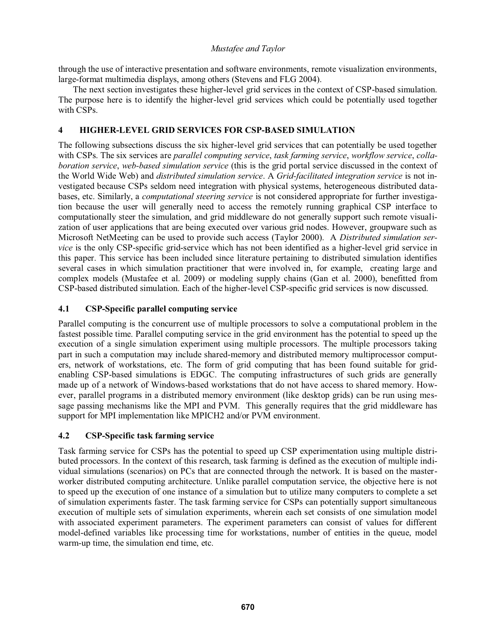through the use of interactive presentation and software environments, remote visualization environments, large-format multimedia displays, among others (Stevens and FLG 2004).

The next section investigates these higher-level grid services in the context of CSP-based simulation. The purpose here is to identify the higher-level grid services which could be potentially used together with CSPs.

# **4 HIGHER-LEVEL GRID SERVICES FOR CSP-BASED SIMULATION**

The following subsections discuss the six higher-level grid services that can potentially be used together with CSPs. The six services are *parallel computing service*, *task farming service*, *workflow service*, *collaboration service*, *web-based simulation service* (this is the grid portal service discussed in the context of the World Wide Web) and *distributed simulation service*. A *Grid-facilitated integration service* is not investigated because CSPs seldom need integration with physical systems, heterogeneous distributed databases, etc. Similarly, a *computational steering service* is not considered appropriate for further investigation because the user will generally need to access the remotely running graphical CSP interface to computationally steer the simulation, and grid middleware do not generally support such remote visualization of user applications that are being executed over various grid nodes. However, groupware such as Microsoft NetMeeting can be used to provide such access (Taylor 2000). A *Distributed simulation service* is the only CSP-specific grid-service which has not been identified as a higher-level grid service in this paper. This service has been included since literature pertaining to distributed simulation identifies several cases in which simulation practitioner that were involved in, for example, creating large and complex models (Mustafee et al. 2009) or modeling supply chains (Gan et al. 2000), benefitted from CSP-based distributed simulation. Each of the higher-level CSP-specific grid services is now discussed.

## **4.1 CSP-Specific parallel computing service**

Parallel computing is the concurrent use of multiple processors to solve a computational problem in the fastest possible time. Parallel computing service in the grid environment has the potential to speed up the execution of a single simulation experiment using multiple processors. The multiple processors taking part in such a computation may include shared-memory and distributed memory multiprocessor computers, network of workstations, etc. The form of grid computing that has been found suitable for gridenabling CSP-based simulations is EDGC. The computing infrastructures of such grids are generally made up of a network of Windows-based workstations that do not have access to shared memory. However, parallel programs in a distributed memory environment (like desktop grids) can be run using message passing mechanisms like the MPI and PVM. This generally requires that the grid middleware has support for MPI implementation like MPICH2 and/or PVM environment.

### **4.2 CSP-Specific task farming service**

Task farming service for CSPs has the potential to speed up CSP experimentation using multiple distributed processors. In the context of this research, task farming is defined as the execution of multiple individual simulations (scenarios) on PCs that are connected through the network. It is based on the masterworker distributed computing architecture. Unlike parallel computation service, the objective here is not to speed up the execution of one instance of a simulation but to utilize many computers to complete a set of simulation experiments faster. The task farming service for CSPs can potentially support simultaneous execution of multiple sets of simulation experiments, wherein each set consists of one simulation model with associated experiment parameters. The experiment parameters can consist of values for different model-defined variables like processing time for workstations, number of entities in the queue, model warm-up time, the simulation end time, etc.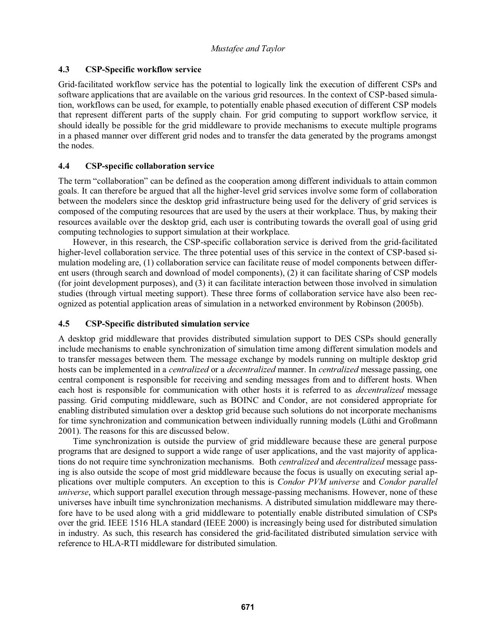# **4.3 CSP-Specific workflow service**

Grid-facilitated workflow service has the potential to logically link the execution of different CSPs and software applications that are available on the various grid resources. In the context of CSP-based simulation, workflows can be used, for example, to potentially enable phased execution of different CSP models that represent different parts of the supply chain. For grid computing to support workflow service, it should ideally be possible for the grid middleware to provide mechanisms to execute multiple programs in a phased manner over different grid nodes and to transfer the data generated by the programs amongst the nodes.

## **4.4 CSP-specific collaboration service**

The term "collaboration" can be defined as the cooperation among different individuals to attain common goals. It can therefore be argued that all the higher-level grid services involve some form of collaboration between the modelers since the desktop grid infrastructure being used for the delivery of grid services is composed of the computing resources that are used by the users at their workplace. Thus, by making their resources available over the desktop grid, each user is contributing towards the overall goal of using grid computing technologies to support simulation at their workplace.

 However, in this research, the CSP-specific collaboration service is derived from the grid-facilitated higher-level collaboration service. The three potential uses of this service in the context of CSP-based simulation modeling are, (1) collaboration service can facilitate reuse of model components between different users (through search and download of model components), (2) it can facilitate sharing of CSP models (for joint development purposes), and (3) it can facilitate interaction between those involved in simulation studies (through virtual meeting support). These three forms of collaboration service have also been recognized as potential application areas of simulation in a networked environment by Robinson (2005b).

## **4.5 CSP-Specific distributed simulation service**

A desktop grid middleware that provides distributed simulation support to DES CSPs should generally include mechanisms to enable synchronization of simulation time among different simulation models and to transfer messages between them. The message exchange by models running on multiple desktop grid hosts can be implemented in a *centralized* or a *decentralized* manner. In *centralized* message passing, one central component is responsible for receiving and sending messages from and to different hosts. When each host is responsible for communication with other hosts it is referred to as *decentralized* message passing. Grid computing middleware, such as BOINC and Condor, are not considered appropriate for enabling distributed simulation over a desktop grid because such solutions do not incorporate mechanisms for time synchronization and communication between individually running models (Lüthi and Großmann 2001). The reasons for this are discussed below.

 Time synchronization is outside the purview of grid middleware because these are general purpose programs that are designed to support a wide range of user applications, and the vast majority of applications do not require time synchronization mechanisms. Both *centralized* and *decentralized* message passing is also outside the scope of most grid middleware because the focus is usually on executing serial applications over multiple computers. An exception to this is *Condor PVM universe* and *Condor parallel universe*, which support parallel execution through message-passing mechanisms. However, none of these universes have inbuilt time synchronization mechanisms. A distributed simulation middleware may therefore have to be used along with a grid middleware to potentially enable distributed simulation of CSPs over the grid. IEEE 1516 HLA standard (IEEE 2000) is increasingly being used for distributed simulation in industry. As such, this research has considered the grid-facilitated distributed simulation service with reference to HLA-RTI middleware for distributed simulation.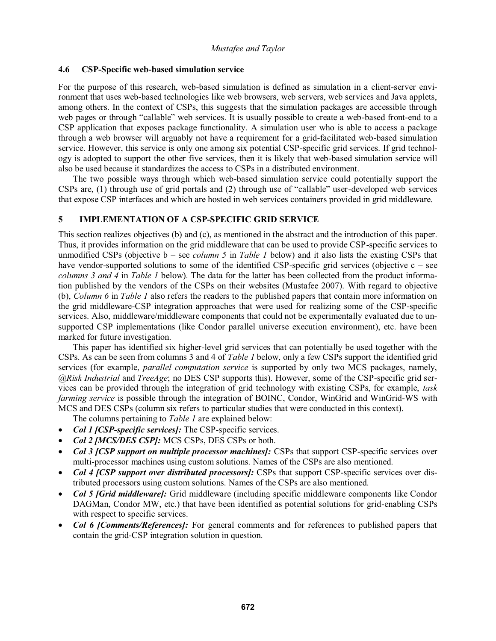#### **4.6 CSP-Specific web-based simulation service**

For the purpose of this research, web-based simulation is defined as simulation in a client-server environment that uses web-based technologies like web browsers, web servers, web services and Java applets, among others. In the context of CSPs, this suggests that the simulation packages are accessible through web pages or through "callable" web services. It is usually possible to create a web-based front-end to a CSP application that exposes package functionality. A simulation user who is able to access a package through a web browser will arguably not have a requirement for a grid-facilitated web-based simulation service. However, this service is only one among six potential CSP-specific grid services. If grid technology is adopted to support the other five services, then it is likely that web-based simulation service will also be used because it standardizes the access to CSPs in a distributed environment.

 The two possible ways through which web-based simulation service could potentially support the  $CSPs$  are, (1) through use of grid portals and (2) through use of "callable" user-developed web services that expose CSP interfaces and which are hosted in web services containers provided in grid middleware.

#### **5 IMPLEMENTATION OF A CSP-SPECIFIC GRID SERVICE**

This section realizes objectives (b) and (c), as mentioned in the abstract and the introduction of this paper. Thus, it provides information on the grid middleware that can be used to provide CSP-specific services to unmodified CSPs (objective  $b - \text{see column 5}$  in *Table 1* below) and it also lists the existing CSPs that have vendor-supported solutions to some of the identified CSP-specific grid services (objective  $c -$  see *columns 3 and 4* in *Table 1* below). The data for the latter has been collected from the product information published by the vendors of the CSPs on their websites (Mustafee 2007). With regard to objective (b), *Column 6* in *Table 1* also refers the readers to the published papers that contain more information on the grid middleware-CSP integration approaches that were used for realizing some of the CSP-specific services. Also, middleware/middleware components that could not be experimentally evaluated due to unsupported CSP implementations (like Condor parallel universe execution environment), etc. have been marked for future investigation.

 This paper has identified six higher-level grid services that can potentially be used together with the CSPs. As can be seen from columns 3 and 4 of *Table 1* below, only a few CSPs support the identified grid services (for example, *parallel computation service* is supported by only two MCS packages, namely, *@Risk Industrial* and *TreeAge*; no DES CSP supports this). However, some of the CSP-specific grid services can be provided through the integration of grid technology with existing CSPs, for example, *task farming service* is possible through the integration of BOINC, Condor, WinGrid and WinGrid-WS with MCS and DES CSPs (column six refers to particular studies that were conducted in this context).

The columns pertaining to *Table 1* are explained below:

- $\bullet$ *Col 1 [CSP-specific services]:* The CSP-specific services.
- $\bullet$ *Col 2 [MCS/DES CSP]:* MCS CSPs, DES CSPs or both.
- $\bullet$ *Col 3 [CSP support on multiple processor machines]:* CSPs that support CSP-specific services over multi-processor machines using custom solutions. Names of the CSPs are also mentioned.
- $\bullet$  *Col 4 [CSP support over distributed processors]:* CSPs that support CSP-specific services over distributed processors using custom solutions. Names of the CSPs are also mentioned.
- - *Col 5 [Grid middleware]:* Grid middleware (including specific middleware components like Condor DAGMan, Condor MW, etc.) that have been identified as potential solutions for grid-enabling CSPs with respect to specific services.
- - *Col 6 [Comments/References]:* For general comments and for references to published papers that contain the grid-CSP integration solution in question.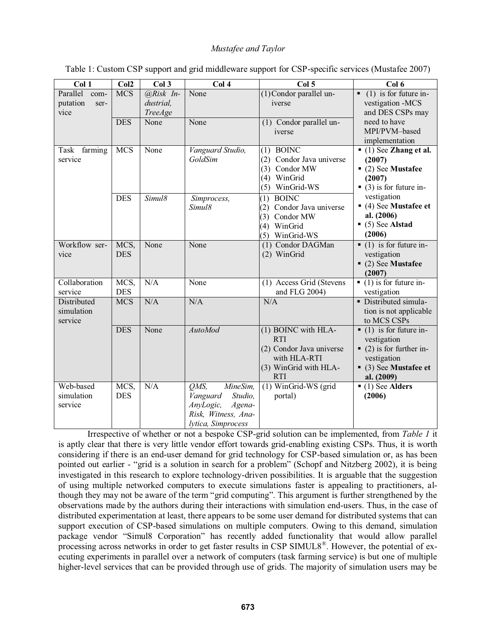| Col 1                                     | Col2               | Col <sub>3</sub>                    | Col <sub>4</sub>                                                                                            | Col <sub>5</sub>                                                                                                     | Col 6                                                                                                                            |
|-------------------------------------------|--------------------|-------------------------------------|-------------------------------------------------------------------------------------------------------------|----------------------------------------------------------------------------------------------------------------------|----------------------------------------------------------------------------------------------------------------------------------|
| Parallel com-<br>putation<br>ser-<br>vice | <b>MCS</b>         | $@Risk$ In-<br>dustrial,<br>TreeAge | None                                                                                                        | $(1)$ Condor parallel un-<br>iverse                                                                                  | $(1)$ is for future in-<br>$\blacksquare$<br>vestigation -MCS<br>and DES CSPs may                                                |
|                                           | <b>DES</b>         | None                                | None                                                                                                        | (1) Condor parallel un-<br>iverse                                                                                    | need to have<br>MPI/PVM-based<br>implementation                                                                                  |
| Task farming<br>service                   | <b>MCS</b>         | None                                | Vanguard Studio,<br>GoldSim                                                                                 | $(1)$ BOINC<br>(2) Condor Java universe<br>(3) Condor MW<br>(4) WinGrid<br>(5) WinGrid-WS                            | $(1)$ See Zhang et al.<br>(2007)<br>$(2)$ See Mustafee<br>(2007)<br>$(3)$ is for future in-                                      |
|                                           | <b>DES</b>         | Simul8                              | Simprocess,<br>Simul8                                                                                       | <b>BOINC</b><br>(1)<br>(2) Condor Java universe<br>(3) Condor MW<br>(4) WinGrid<br>(5) WinGrid-WS                    | vestigation<br>(4) See Mustafee et<br>al. (2006)<br>$(5)$ See Alstad<br>(2006)                                                   |
| Workflow ser-<br>vice                     | MCS,<br><b>DES</b> | None                                | None                                                                                                        | (1) Condor DAGMan<br>(2) WinGrid                                                                                     | $\bullet$ (1) is for future in-<br>vestigation<br>$\bullet$ (2) See Mustafee<br>(2007)                                           |
| Collaboration<br>service                  | MCS,<br><b>DES</b> | N/A                                 | None                                                                                                        | (1) Access Grid (Stevens<br>and FLG 2004)                                                                            | $(1)$ is for future in-<br>vestigation                                                                                           |
| Distributed<br>simulation<br>service      | <b>MCS</b>         | N/A                                 | N/A                                                                                                         | N/A                                                                                                                  | · Distributed simula-<br>tion is not applicable<br>to MCS CSPs                                                                   |
|                                           | <b>DES</b>         | None                                | AutoMod                                                                                                     | (1) BOINC with HLA-<br><b>RTI</b><br>(2) Condor Java universe<br>with HLA-RTI<br>(3) WinGrid with HLA-<br><b>RTI</b> | $(1)$ is for future in-<br>vestigation<br>$\bullet$ (2) is for further in-<br>vestigation<br>$(3)$ See Mustafee et<br>al. (2009) |
| Web-based<br>simulation<br>service        | MCS,<br><b>DES</b> | N/A                                 | MineSim,<br>QMS,<br>Vanguard<br>Studio,<br>AnyLogic,<br>Agena-<br>Risk, Witness, Ana-<br>lytica, Simprocess | (1) WinGrid-WS (grid<br>portal)                                                                                      | $(1)$ See Alders<br>(2006)                                                                                                       |

Table 1: Custom CSP support and grid middleware support for CSP-specific services (Mustafee 2007)

 Irrespective of whether or not a bespoke CSP-grid solution can be implemented, from *Table 1* it is aptly clear that there is very little vendor effort towards grid-enabling existing CSPs. Thus, it is worth considering if there is an end-user demand for grid technology for CSP-based simulation or, as has been pointed out earlier - "grid is a solution in search for a problem" (Schopf and Nitzberg 2002), it is being investigated in this research to explore technology-driven possibilities. It is arguable that the suggestion of using multiple networked computers to execute simulations faster is appealing to practitioners, al though they may not be aware of the term "grid computing". This argument is further strengthened by the observations made by the authors during their interactions with simulation end-users. Thus, in the case of distributed experimentation at least, there appears to be some user demand for distributed systems that can support execution of CSP-based simulations on multiple computers. Owing to this demand, simulation package vendor "Simul8 Corporation" has recently added functionality that would allow parallel processing across networks in order to get faster results in CSP SIMUL8®. However, the potential of executing experiments in parallel over a network of computers (task farming service) is but one of multiple higher-level services that can be provided through use of grids. The majority of simulation users may be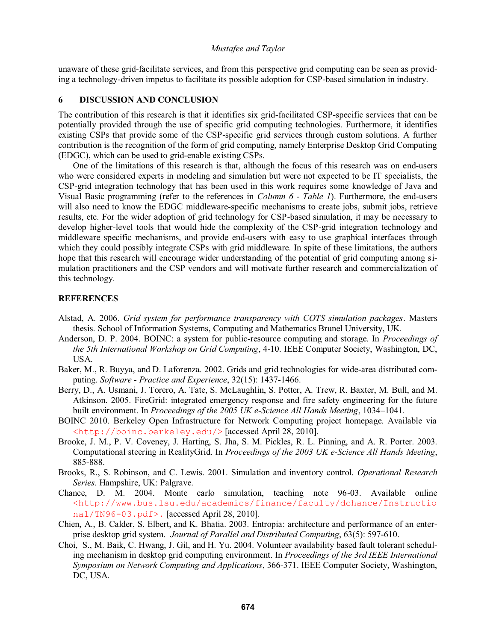unaware of these grid-facilitate services, and from this perspective grid computing can be seen as providing a technology-driven impetus to facilitate its possible adoption for CSP-based simulation in industry.

### **6 DISCUSSION AND CONCLUSION**

The contribution of this research is that it identifies six grid-facilitated CSP-specific services that can be potentially provided through the use of specific grid computing technologies. Furthermore, it identifies existing CSPs that provide some of the CSP-specific grid services through custom solutions. A further contribution is the recognition of the form of grid computing, namely Enterprise Desktop Grid Computing (EDGC), which can be used to grid-enable existing CSPs.

 One of the limitations of this research is that, although the focus of this research was on end-users who were considered experts in modeling and simulation but were not expected to be IT specialists, the CSP-grid integration technology that has been used in this work requires some knowledge of Java and Visual Basic programming (refer to the references in *Column 6 - Table 1*). Furthermore, the end-users will also need to know the EDGC middleware-specific mechanisms to create jobs, submit jobs, retrieve results, etc. For the wider adoption of grid technology for CSP-based simulation, it may be necessary to develop higher-level tools that would hide the complexity of the CSP-grid integration technology and middleware specific mechanisms, and provide end-users with easy to use graphical interfaces through which they could possibly integrate CSPs with grid middleware. In spite of these limitations, the authors hope that this research will encourage wider understanding of the potential of grid computing among simulation practitioners and the CSP vendors and will motivate further research and commercialization of this technology.

#### **REFERENCES**

- Alstad, A. 2006. *Grid system for performance transparency with COTS simulation packages*. Masters thesis. School of Information Systems, Computing and Mathematics Brunel University, UK.
- Anderson, D. P. 2004. BOINC: a system for public-resource computing and storage. In *Proceedings of the 5th International Workshop on Grid Computing*, 4-10. IEEE Computer Society, Washington, DC, USA.
- Baker, M., R. Buyya, and D. Laforenza. 2002. Grids and grid technologies for wide-area distributed computing. *Software - Practice and Experience*, 32(15): 1437-1466.
- Berry, D., A. Usmani, J. Torero, A. Tate, S. McLaughlin, S. Potter, A. Trew, R. Baxter, M. Bull, and M. Atkinson. 2005. FireGrid: integrated emergency response and fire safety engineering for the future built environment. In *Proceedings of the 2005 UK e-Science All Hands Meeting*, 1034–1041.
- BOINC 2010. Berkeley Open Infrastructure for Network Computing project homepage. Available via <http://boinc.berkeley.edu/> [accessed April 28, 2010].
- Brooke, J. M., P. V. Coveney, J. Harting, S. Jha, S. M. Pickles, R. L. Pinning, and A. R. Porter. 2003. Computational steering in RealityGrid. In *Proceedings of the 2003 UK e-Science All Hands Meeting*, 885-888.
- Brooks, R., S. Robinson, and C. Lewis. 2001. Simulation and inventory control. *Operational Research Series*. Hampshire, UK: Palgrave.
- Chance, D. M. 2004. Monte carlo simulation, teaching note 96-03. Available online <http://www.bus.lsu.edu/academics/finance/faculty/dchance/Instructio nal/TN96-03.pdf>. [accessed April 28, 2010].
- Chien, A., B. Calder, S. Elbert, and K. Bhatia. 2003. Entropia: architecture and performance of an enterprise desktop grid system. *Journal of Parallel and Distributed Computing*, 63(5): 597-610.
- Choi, S., M. Baik, C. Hwang, J. Gil, and H. Yu. 2004. Volunteer availability based fault tolerant scheduling mechanism in desktop grid computing environment. In *Proceedings of the 3rd IEEE International Symposium on Network Computing and Applications*, 366-371. IEEE Computer Society, Washington, DC, USA.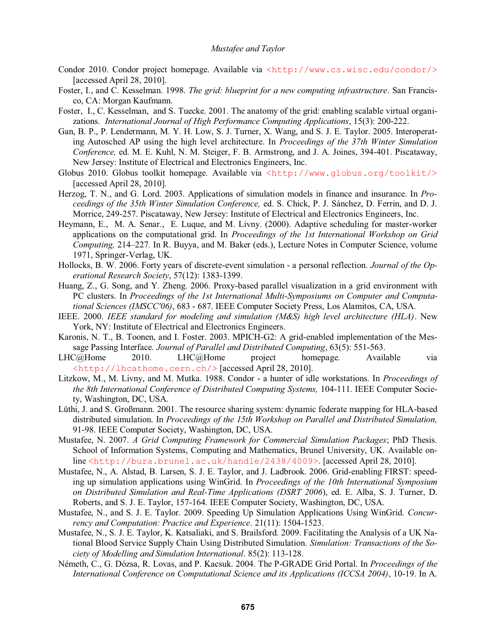- Condor 2010. Condor project homepage. Available via <http://www.cs.wisc.edu/condor/> [accessed April 28, 2010].
- Foster, I., and C. Kesselman. 1998. *The grid: blueprint for a new computing infrastructure*. San Francisco, CA: Morgan Kaufmann.
- Foster, I., C. Kesselman, and S. Tuecke. 2001. The anatomy of the grid: enabling scalable virtual organizations. *International Journal of High Performance Computing Applications*, 15(3): 200-222.
- Gan, B. P., P. Lendermann, M. Y. H. Low, S. J. Turner, X. Wang, and S. J. E. Taylor. 2005. Interoperating Autosched AP using the high level architecture. In *Proceedings of the 37th Winter Simulation Conference,* ed. M. E. Kuhl, N. M. Steiger, F. B. Armstrong, and J. A. Joines, 394-401. Piscataway, New Jersey: Institute of Electrical and Electronics Engineers, Inc.
- Globus 2010. Globus toolkit homepage. Available via  $\langle \text{http://www,qlobus.org/toolkit/}>$ [accessed April 28, 2010].
- Herzog, T. N., and G. Lord. 2003. Applications of simulation models in finance and insurance. In *Proceedings of the 35th Winter Simulation Conference,* ed. S. Chick, P. J. Sánchez, D. Ferrin, and D. J. Morrice, 249-257. Piscataway, New Jersey: Institute of Electrical and Electronics Engineers, Inc.
- Heymann, E., M. A. Senar., E. Luque, and M. Livny. (2000). Adaptive scheduling for master-worker applications on the computational grid. In *Proceedings of the 1st International Workshop on Grid Computing, 214–227.* In R. Buyya, and M. Baker (eds.), Lecture Notes in Computer Science, volume 1971, Springer-Verlag, UK.
- Hollocks, B. W. 2006. Forty years of discrete-event simulation a personal reflection. *Journal of the Operational Research Society*, 57(12): 1383-1399.
- Huang, Z., G. Song, and Y. Zheng. 2006. Proxy-based parallel visualization in a grid environment with PC clusters. In *Proceedings of the 1st International Multi-Symposiums on Computer and Computational Sciences (IMSCC'06)*, 683 - 687. IEEE Computer Society Press, Los Alamitos, CA, USA.
- IEEE. 2000. *IEEE standard for modeling and simulation (M&S) high level architecture (HLA)*. New York, NY: Institute of Electrical and Electronics Engineers.
- Karonis, N. T., B. Toonen, and I. Foster. 2003. MPICH-G2: A grid-enabled implementation of the Message Passing Interface. *Journal of Parallel and Distributed Computing*, 63(5): 551-563.
- LHC@Home 2010. LHC@Home project homepage. Available via <http://lhcathome.cern.ch/> [accessed April 28, 2010].
- Litzkow, M., M. Livny, and M. Mutka. 1988. Condor a hunter of idle workstations. In *Proceedings of the 8th International Conference of Distributed Computing Systems,* 104-111. IEEE Computer Society, Washington, DC, USA.
- Lüthi, J. and S. Großmann. 2001. The resource sharing system: dynamic federate mapping for HLA-based distributed simulation. In *Proceedings of the 15th Workshop on Parallel and Distributed Simulation,*  91-98. IEEE Computer Society, Washington, DC, USA.
- Mustafee, N. 2007. *A Grid Computing Framework for Commercial Simulation Packages*; PhD Thesis. School of Information Systems, Computing and Mathematics, Brunel University, UK. Available online <http://bura.brunel.ac.uk/handle/2438/4009>. [accessed April 28, 2010].
- Mustafee, N., A. Alstad, B. Larsen, S. J. E. Taylor, and J. Ladbrook. 2006. Grid-enabling FIRST: speeding up simulation applications using WinGrid. In *Proceedings of the 10th International Symposium on Distributed Simulation and Real-Time Applications (DSRT 2006*), ed. E. Alba, S. J. Turner, D. Roberts, and S. J. E. Taylor, 157-164. IEEE Computer Society, Washington, DC, USA.
- Mustafee, N., and S. J. E. Taylor. 2009. Speeding Up Simulation Applications Using WinGrid. *Concurrency and Computation: Practice and Experience*. 21(11): 1504-1523.
- Mustafee, N., S. J. E. Taylor, K. Katsaliaki, and S. Brailsford. 2009. Facilitating the Analysis of a UK National Blood Service Supply Chain Using Distributed Simulation. *Simulation: Transactions of the Society of Modelling and Simulation International*. 85(2): 113-128.
- Németh, C., G. Dózsa, R. Lovas, and P. Kacsuk. 2004. The P-GRADE Grid Portal. In *Proceedings of the International Conference on Computational Science and its Applications (ICCSA 2004)*, 10-19. In A.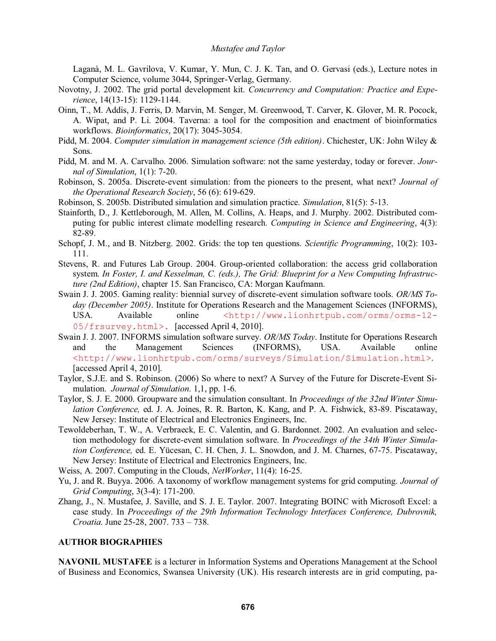Laganà, M. L. Gavrilova, V. Kumar, Y. Mun, C. J. K. Tan, and O. Gervasi (eds.), Lecture notes in Computer Science, volume 3044, Springer-Verlag, Germany.

- Novotny, J. 2002. The grid portal development kit. *Concurrency and Computation: Practice and Experience*, 14(13-15): 1129-1144.
- Oinn, T., M. Addis, J. Ferris, D. Marvin, M. Senger, M. Greenwood, T. Carver, K. Glover, M. R. Pocock, A. Wipat, and P. Li. 2004. Taverna: a tool for the composition and enactment of bioinformatics workflows. *Bioinformatics*, 20(17): 3045-3054.
- Pidd, M. 2004. *Computer simulation in management science (5th edition)*. Chichester, UK: John Wiley & Sons.
- Pidd, M. and M. A. Carvalho. 2006. Simulation software: not the same yesterday, today or forever. *Journal of Simulation*, 1(1): 7-20.
- Robinson, S. 2005a. Discrete-event simulation: from the pioneers to the present, what next? *Journal of the Operational Research Society*, 56 (6): 619-629.
- Robinson, S. 2005b. Distributed simulation and simulation practice. *Simulation*, 81(5): 5-13.
- Stainforth, D., J. Kettleborough, M. Allen, M. Collins, A. Heaps, and J. Murphy. 2002. Distributed computing for public interest climate modelling research. *Computing in Science and Engineering*, 4(3): 82-89.
- Schopf, J. M., and B. Nitzberg. 2002. Grids: the top ten questions. *Scientific Programming*, 10(2): 103- 111.
- Stevens, R. and Futures Lab Group. 2004. Group-oriented collaboration: the access grid collaboration system. *In Foster, I. and Kesselman, C. (eds.), The Grid: Blueprint for a New Computing Infrastructure (2nd Edition)*, chapter 15. San Francisco, CA: Morgan Kaufmann.
- Swain J. J. 2005. Gaming reality: biennial survey of discrete-event simulation software tools. *OR/MS Today (December 2005)*. Institute for Operations Research and the Management Sciences (INFORMS), USA. Available online <http://www.lionhrtpub.com/orms/orms-12- 05/frsurvey.html>. [accessed April 4, 2010].
- Swain J. J. 2007. INFORMS simulation software survey. *OR/MS Today*. Institute for Operations Research and the Management Sciences (INFORMS), USA. Available online <http://www.lionhrtpub.com/orms/surveys/Simulation/Simulation.html>. [accessed April 4, 2010].
- Taylor, S.J.E. and S. Robinson. (2006) So where to next? A Survey of the Future for Discrete-Event Simulation. *Journal of Simulation*. 1,1, pp. 1-6.
- Taylor, S. J. E. 2000. Groupware and the simulation consultant. In *Proceedings of the 32nd Winter Simulation Conference,* ed. J. A. Joines, R. R. Barton, K. Kang, and P. A. Fishwick, 83-89. Piscataway, New Jersey: Institute of Electrical and Electronics Engineers, Inc.
- Tewoldeberhan, T. W., A. Verbraeck, E. C. Valentin, and G. Bardonnet. 2002. An evaluation and selection methodology for discrete-event simulation software. In *Proceedings of the 34th Winter Simulation Conference,* ed. E. Yücesan, C. H. Chen, J. L. Snowdon, and J. M. Charnes, 67-75. Piscataway, New Jersey: Institute of Electrical and Electronics Engineers, Inc.
- Weiss, A. 2007. Computing in the Clouds, *NetWorker*, 11(4): 16-25.
- Yu, J. and R. Buyya. 2006. A taxonomy of workflow management systems for grid computing. *Journal of Grid Computing*, 3(3-4): 171-200.
- Zhang, J., N. Mustafee, J. Saville, and S. J. E. Taylor. 2007. Integrating BOINC with Microsoft Excel: a case study. In *Proceedings of the 29th Information Technology Interfaces Conference, Dubrovnik, Croatia.* June 25-28, 2007. 733 – 738.

#### **AUTHOR BIOGRAPHIES**

**NAVONIL MUSTAFEE** is a lecturer in Information Systems and Operations Management at the School of Business and Economics, Swansea University (UK). His research interests are in grid computing, pa-